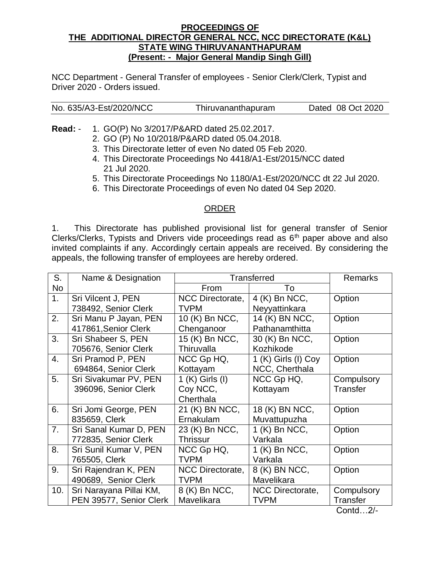## **PROCEEDINGS OF THE ADDITIONAL DIRECTOR GENERAL NCC, NCC DIRECTORATE (K&L) STATE WING THIRUVANANTHAPURAM (Present: - Major General Mandip Singh Gill)**

NCC Department - General Transfer of employees - Senior Clerk/Clerk, Typist and Driver 2020 - Orders issued.

| No. 635/A3-Est/2020/NCC | Thiruvananthapuram | Dated 08 Oct 2020 |
|-------------------------|--------------------|-------------------|
|                         |                    |                   |

**Read:** - 1. GO(P) No 3/2017/P&ARD dated 25.02.2017.

- 2. GO (P) No 10/2018/P&ARD dated 05.04.2018.
- 3. This Directorate letter of even No dated 05 Feb 2020.
- 4. This Directorate Proceedings No 4418/A1-Est/2015/NCC dated 21 Jul 2020.
- 5. This Directorate Proceedings No 1180/A1-Est/2020/NCC dt 22 Jul 2020.
- 6. This Directorate Proceedings of even No dated 04 Sep 2020.

## ORDER

1. This Directorate has published provisional list for general transfer of Senior Clerks/Clerks, Typists and Drivers vide proceedings read as  $6<sup>th</sup>$  paper above and also invited complaints if any. Accordingly certain appeals are received. By considering the appeals, the following transfer of employees are hereby ordered.

| S.                       | Name & Designation                 | <b>Transferred</b>           |                         | Remarks         |
|--------------------------|------------------------------------|------------------------------|-------------------------|-----------------|
| <b>No</b>                |                                    | From                         | To                      |                 |
| 1.<br>Sri Vilcent J, PEN |                                    | NCC Directorate,             | 4 (K) Bn NCC,           | Option          |
|                          | 738492, Senior Clerk               | <b>TVPM</b><br>Neyyattinkara |                         |                 |
| 2.                       | Sri Manu P Jayan, PEN              | 10 (K) Bn NCC,               | 14 (K) BN NCC,          | Option          |
|                          | 417861, Senior Clerk               | Chenganoor                   | Pathanamthitta          |                 |
| 3.                       | Sri Shabeer S, PEN                 | 15 (K) Bn NCC,               |                         | Option          |
|                          | 705676, Senior Clerk<br>Thiruvalla |                              | Kozhikode               |                 |
| 4.                       | Sri Pramod P, PEN                  | NCC Gp HQ,                   |                         | Option          |
| 694864, Senior Clerk     |                                    | NCC, Cherthala<br>Kottayam   |                         |                 |
| 5.                       | Sri Sivakumar PV, PEN              | 1 (K) Girls (I)              | NCC Gp HQ,              | Compulsory      |
| 396096, Senior Clerk     |                                    | Coy NCC,                     | Kottayam                | Transfer        |
|                          |                                    | Cherthala                    |                         |                 |
| 6.                       | Sri Jomi George, PEN               | 21 (K) BN NCC,               | 18 (K) BN NCC,          | Option          |
|                          | 835659, Clerk                      | Ernakulam                    | Muvattupuzha            |                 |
| 7.                       | Sri Sanal Kumar D, PEN             | 23 (K) Bn NCC,               | 1 (K) Bn NCC,           | Option          |
|                          | 772835, Senior Clerk<br>Thrissur   |                              | Varkala                 |                 |
| 8.                       | Sri Sunil Kumar V, PEN             | NCC Gp HQ,                   | 1 (K) Bn NCC,           | Option          |
| 765505, Clerk            |                                    | <b>TVPM</b>                  | Varkala                 |                 |
| 9.                       | Sri Rajendran K, PEN               | NCC Directorate,             | 8 (K) BN NCC,           | Option          |
|                          | 490689, Senior Clerk               | <b>TVPM</b>                  | Mavelikara              |                 |
| 10.                      | Sri Narayana Pillai KM,            | 8 (K) Bn NCC,                | <b>NCC Directorate,</b> | Compulsory      |
|                          | PEN 39577, Senior Clerk            | Mavelikara                   | TVPM                    | <b>Transfer</b> |

Contd…2/-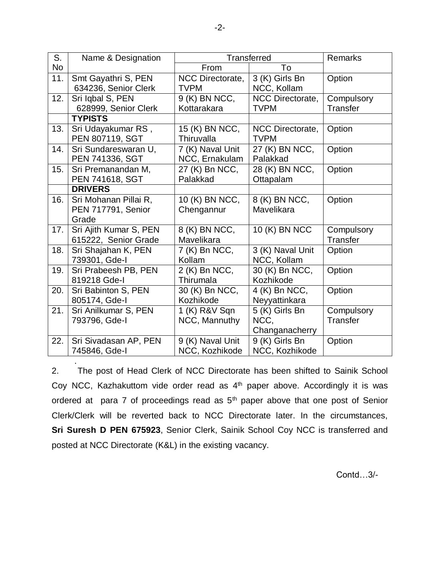| S.                   | Name & Designation                        | <b>Transferred</b>             |                               | Remarks         |  |
|----------------------|-------------------------------------------|--------------------------------|-------------------------------|-----------------|--|
| No                   |                                           | From                           | To                            |                 |  |
| 11.                  | Smt Gayathri S, PEN                       | NCC Directorate,               | 3 (K) Girls Bn                | Option          |  |
| 634236, Senior Clerk |                                           | NCC, Kollam<br><b>TVPM</b>     |                               |                 |  |
| 12.                  | Sri Iqbal S, PEN                          | 9 (K) BN NCC,                  | NCC Directorate,              | Compulsory      |  |
|                      | 628999, Senior Clerk                      | Kottarakara                    | <b>TVPM</b>                   | <b>Transfer</b> |  |
|                      | <b>TYPISTS</b>                            |                                |                               |                 |  |
| 13.                  | Sri Udayakumar RS,                        | 15 (K) BN NCC,                 | NCC Directorate,              | Option          |  |
|                      | PEN 807119, SGT                           | Thiruvalla                     | <b>TVPM</b>                   |                 |  |
| 14.                  | Sri Sundareswaran U,                      | 7 (K) Naval Unit               | 27 (K) BN NCC,                | Option          |  |
|                      | PEN 741336, SGT                           | NCC, Ernakulam                 | Palakkad                      |                 |  |
| 15.                  | Sri Premanandan M,                        | 27 (K) Bn NCC,                 | 28 (K) BN NCC,                | Option          |  |
|                      | PEN 741618, SGT                           | Palakkad                       | Ottapalam                     |                 |  |
|                      | <b>DRIVERS</b>                            |                                |                               |                 |  |
| 16.                  | Sri Mohanan Pillai R,                     | 10 (K) BN NCC,                 | 8 (K) BN NCC,                 | Option          |  |
|                      | PEN 717791, Senior                        | Chengannur                     | Mavelikara                    |                 |  |
|                      | Grade                                     |                                |                               |                 |  |
| 17.                  | Sri Ajith Kumar S, PEN                    | 8 (K) BN NCC,<br>10 (K) BN NCC |                               | Compulsory      |  |
|                      | 615222, Senior Grade<br>Mavelikara        |                                |                               | <b>Transfer</b> |  |
| 18.                  | Sri Shajahan K, PEN<br>7 (K) Bn NCC,      |                                | 3 (K) Naval Unit              | Option          |  |
|                      | 739301, Gde-I<br>Kollam                   |                                | NCC, Kollam<br>30 (K) Bn NCC, |                 |  |
| 19.                  | Sri Prabeesh PB, PEN                      | 2 (K) Bn NCC,                  |                               | Option          |  |
| 819218 Gde-I         |                                           | Thirumala<br>Kozhikode         |                               |                 |  |
| 20.                  | 30 (K) Bn NCC,<br>Sri Babinton S, PEN     |                                | 4 (K) Bn NCC,                 | Option          |  |
|                      | 805174, Gde-I                             | Kozhikode                      | Neyyattinkara                 |                 |  |
| 21.                  | Sri Anilkumar S, PEN                      | 1 (K) R&V Sqn                  | 5 (K) Girls Bn                | Compulsory      |  |
|                      | 793796, Gde-I                             | NCC, Mannuthy                  | NCC,                          | <b>Transfer</b> |  |
|                      |                                           |                                | Changanacherry                |                 |  |
| 22.                  | Sri Sivadasan AP, PEN<br>9 (K) Naval Unit |                                | 9 (K) Girls Bn                | Option          |  |
|                      | 745846, Gde-I                             | NCC, Kozhikode                 | NCC, Kozhikode                |                 |  |

2. The post of Head Clerk of NCC Directorate has been shifted to Sainik School Coy NCC, Kazhakuttom vide order read as  $4<sup>th</sup>$  paper above. Accordingly it is was ordered at para 7 of proceedings read as  $5<sup>th</sup>$  paper above that one post of Senior Clerk/Clerk will be reverted back to NCC Directorate later. In the circumstances, **Sri Suresh D PEN 675923**, Senior Clerk, Sainik School Coy NCC is transferred and posted at NCC Directorate (K&L) in the existing vacancy.

.

Contd…3/-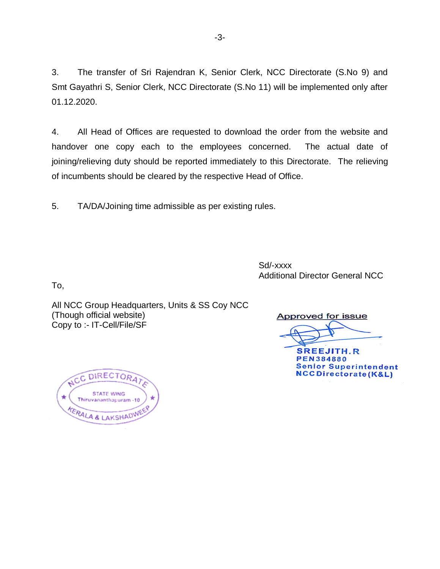3. The transfer of Sri Rajendran K, Senior Clerk, NCC Directorate (S.No 9) and Smt Gayathri S, Senior Clerk, NCC Directorate (S.No 11) will be implemented only after 01.12.2020.

4. All Head of Offices are requested to download the order from the website and handover one copy each to the employees concerned. The actual date of joining/relieving duty should be reported immediately to this Directorate. The relieving of incumbents should be cleared by the respective Head of Office.

5. TA/DA/Joining time admissible as per existing rules.

Sd/-xxxx Additional Director General NCC

To,

All NCC Group Headquarters, Units & SS Coy NCC (Though official website) Copy to :- IT-Cell/File/SF

Approved for issue

**SREEJITH.R PEN384880 Senior Superintendent NCCDirectorate(K&L)** 

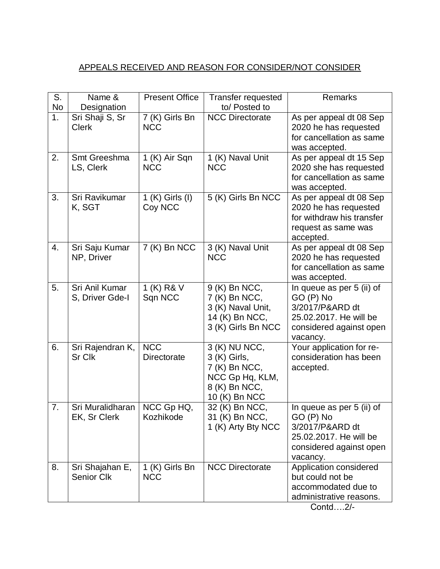## APPEALS RECEIVED AND REASON FOR CONSIDER/NOT CONSIDER

| S.<br><b>No</b> | Name &<br>Designation                         | <b>Present Office</b>            | <b>Transfer requested</b><br>to/ Posted to                                                          | Remarks                                                                                                                    |
|-----------------|-----------------------------------------------|----------------------------------|-----------------------------------------------------------------------------------------------------|----------------------------------------------------------------------------------------------------------------------------|
| 1.              | Sri Shaji S, Sr<br><b>Clerk</b>               | 7 (K) Girls Bn<br><b>NCC</b>     | <b>NCC Directorate</b>                                                                              | As per appeal dt 08 Sep<br>2020 he has requested<br>for cancellation as same<br>was accepted.                              |
| 2.              | Smt Greeshma<br>LS, Clerk                     | 1 (K) Air Sqn<br><b>NCC</b>      | 1 (K) Naval Unit<br><b>NCC</b>                                                                      | As per appeal dt 15 Sep<br>2020 she has requested<br>for cancellation as same<br>was accepted.                             |
| 3.              | Sri Ravikumar<br>K, SGT                       | 1 (K) Girls (I)<br>Coy NCC       | 5 (K) Girls Bn NCC                                                                                  | As per appeal dt 08 Sep<br>2020 he has requested<br>for withdraw his transfer<br>request as same was<br>accepted.          |
| 4.              | Sri Saju Kumar<br>NP, Driver                  | 7 (K) Bn NCC                     | 3 (K) Naval Unit<br><b>NCC</b>                                                                      | As per appeal dt 08 Sep<br>2020 he has requested<br>for cancellation as same<br>was accepted.                              |
| 5.              | Sri Anil Kumar<br>S, Driver Gde-I             | 1 (K) R& V<br>Sqn NCC            | 9 (K) Bn NCC,<br>7 (K) Bn NCC,<br>3 (K) Naval Unit,<br>14 (K) Bn NCC,<br>3 (K) Girls Bn NCC         | In queue as per 5 (ii) of<br>GO (P) No<br>3/2017/P&ARD dt<br>25.02.2017. He will be<br>considered against open<br>vacancy. |
| 6.              | Sri Rajendran K,<br>Sr Clk                    | <b>NCC</b><br><b>Directorate</b> | 3 (K) NU NCC,<br>3 (K) Girls,<br>7 (K) Bn NCC,<br>NCC Gp Hq, KLM,<br>8 (K) Bn NCC,<br>10 (K) Bn NCC | Your application for re-<br>consideration has been<br>accepted.                                                            |
| 7.              | Sri Muralidharan   NCC Gp HQ,<br>EK, Sr Clerk | Kozhikode                        | 32 (K) Bn NCC,<br>31 (K) Bn NCC,<br>1 (K) Arty Bty NCC                                              | In queue as per 5 (ii) of<br>GO (P) No<br>3/2017/P&ARD dt<br>25.02.2017. He will be<br>considered against open<br>vacancy. |
| 8.              | Sri Shajahan E,<br><b>Senior Clk</b>          | 1 (K) Girls Bn<br><b>NCC</b>     | <b>NCC Directorate</b>                                                                              | Application considered<br>but could not be<br>accommodated due to<br>administrative reasons.                               |

Contd….2/-